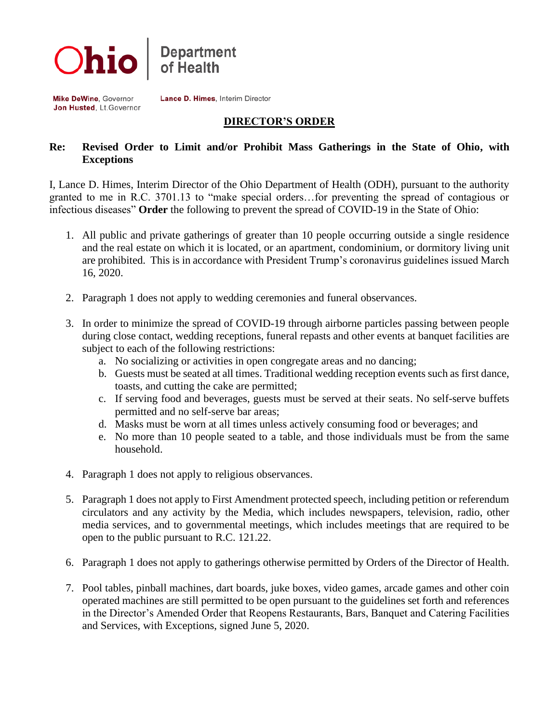

Mike DeWine, Governor Jon Husted, Lt. Governor Lance D. Himes, Interim Director

## **DIRECTOR'S ORDER**

## **Re: Revised Order to Limit and/or Prohibit Mass Gatherings in the State of Ohio, with Exceptions**

I, Lance D. Himes, Interim Director of the Ohio Department of Health (ODH), pursuant to the authority granted to me in R.C. 3701.13 to "make special orders…for preventing the spread of contagious or infectious diseases" **Order** the following to prevent the spread of COVID-19 in the State of Ohio:

- 1. All public and private gatherings of greater than 10 people occurring outside a single residence and the real estate on which it is located, or an apartment, condominium, or dormitory living unit are prohibited. This is in accordance with President Trump's coronavirus guidelines issued March 16, 2020.
- 2. Paragraph 1 does not apply to wedding ceremonies and funeral observances.
- 3. In order to minimize the spread of COVID-19 through airborne particles passing between people during close contact, wedding receptions, funeral repasts and other events at banquet facilities are subject to each of the following restrictions:
	- a. No socializing or activities in open congregate areas and no dancing;
	- b. Guests must be seated at all times. Traditional wedding reception events such as first dance, toasts, and cutting the cake are permitted;
	- c. If serving food and beverages, guests must be served at their seats. No self-serve buffets permitted and no self-serve bar areas;
	- d. Masks must be worn at all times unless actively consuming food or beverages; and
	- e. No more than 10 people seated to a table, and those individuals must be from the same household.
- 4. Paragraph 1 does not apply to religious observances.
- 5. Paragraph 1 does not apply to First Amendment protected speech, including petition or referendum circulators and any activity by the Media, which includes newspapers, television, radio, other media services, and to governmental meetings, which includes meetings that are required to be open to the public pursuant to R.C. 121.22.
- 6. Paragraph 1 does not apply to gatherings otherwise permitted by Orders of the Director of Health.
- 7. Pool tables, pinball machines, dart boards, juke boxes, video games, arcade games and other coin operated machines are still permitted to be open pursuant to the guidelines set forth and references in the Director's Amended Order that Reopens Restaurants, Bars, Banquet and Catering Facilities and Services, with Exceptions, signed June 5, 2020.